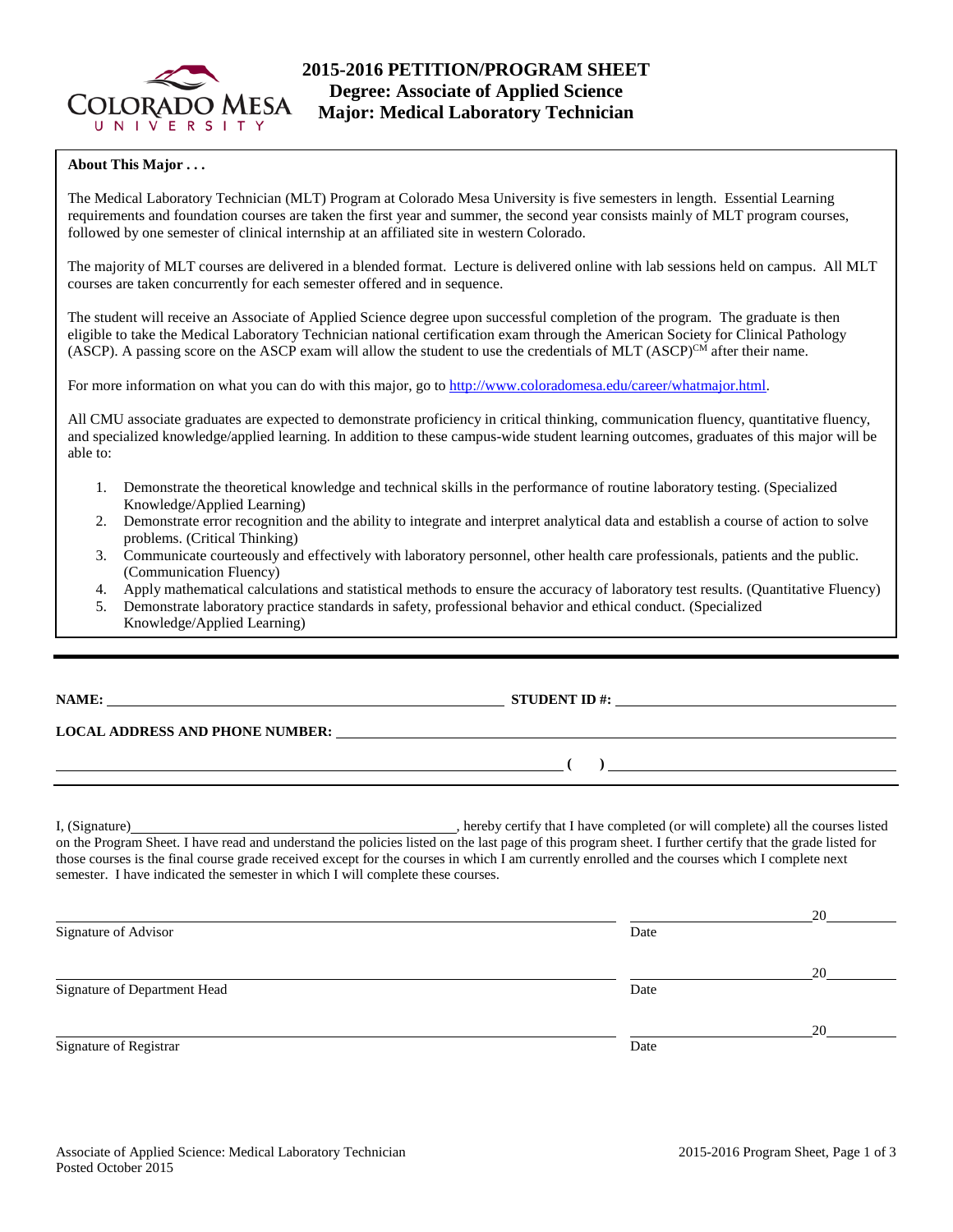

# **2015-2016 PETITION/PROGRAM SHEET Degree: Associate of Applied Science Major: Medical Laboratory Technician**

### **About This Major . . .**

The Medical Laboratory Technician (MLT) Program at Colorado Mesa University is five semesters in length. Essential Learning requirements and foundation courses are taken the first year and summer, the second year consists mainly of MLT program courses, followed by one semester of clinical internship at an affiliated site in western Colorado.

The majority of MLT courses are delivered in a blended format. Lecture is delivered online with lab sessions held on campus. All MLT courses are taken concurrently for each semester offered and in sequence.

The student will receive an Associate of Applied Science degree upon successful completion of the program. The graduate is then eligible to take the Medical Laboratory Technician national certification exam through the American Society for Clinical Pathology (ASCP). A passing score on the ASCP exam will allow the student to use the credentials of MLT (ASCP)<sup>CM</sup> after their name.

For more information on what you can do with this major, go to [http://www.coloradomesa.edu/career/whatmajor.html.](http://www.coloradomesa.edu/career/whatmajor.html)

All CMU associate graduates are expected to demonstrate proficiency in critical thinking, communication fluency, quantitative fluency, and specialized knowledge/applied learning. In addition to these campus-wide student learning outcomes, graduates of this major will be able to:

- 1. Demonstrate the theoretical knowledge and technical skills in the performance of routine laboratory testing. (Specialized Knowledge/Applied Learning)
- 2. Demonstrate error recognition and the ability to integrate and interpret analytical data and establish a course of action to solve problems. (Critical Thinking)
- 3. Communicate courteously and effectively with laboratory personnel, other health care professionals, patients and the public. (Communication Fluency)
- 4. Apply mathematical calculations and statistical methods to ensure the accuracy of laboratory test results. (Quantitative Fluency)<br>5. Demonstrate laboratory practice standards in safety, professional behavior and ethical
- 5. Demonstrate laboratory practice standards in safety, professional behavior and ethical conduct. (Specialized Knowledge/Applied Learning)

**NAME: STUDENT ID #: STUDENT ID #: STUDENT ID #: STUDENT ID #: STUDENT ID #: STUDENT ID #: STUDENT ID #: STUDENT ID #: STUDENT ID #: STUDENT ID #: STUDENT ID #: STUDENT ID #: STUDENT ID #: STUDE** 

**LOCAL ADDRESS AND PHONE NUMBER:**

I, (Signature) hereby certify that I have completed (or will complete) all the courses listed on the Program Sheet. I have read and understand the policies listed on the last page of this program sheet. I further certify that the grade listed for those courses is the final course grade received except for the courses in which I am currently enrolled and the courses which I complete next semester. I have indicated the semester in which I will complete these courses.

|                              |      | 20 |
|------------------------------|------|----|
| Signature of Advisor         | Date |    |
|                              |      | 20 |
| Signature of Department Head | Date |    |
|                              |      | 20 |
| Signature of Registrar       | Date |    |

**( )**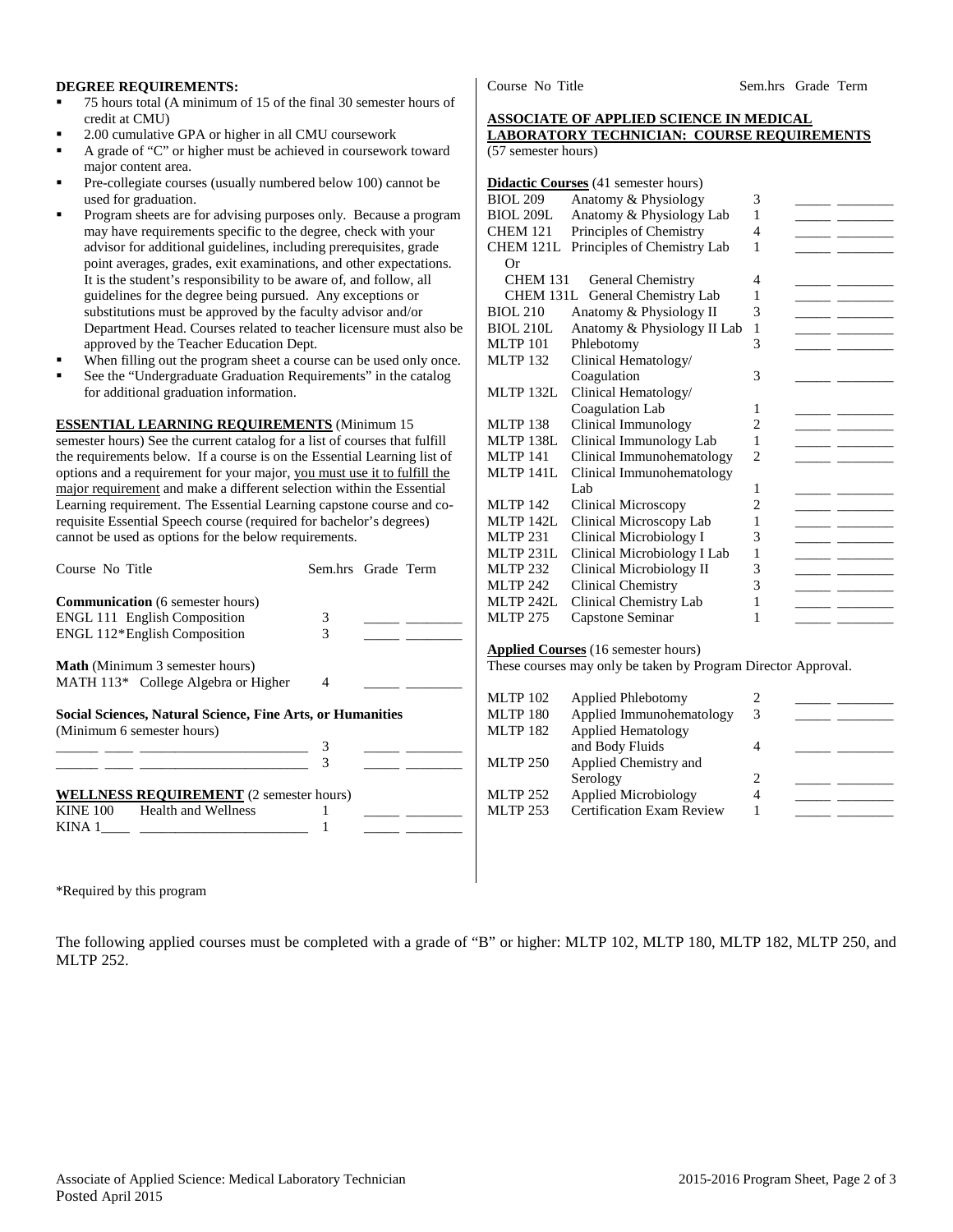#### **DEGREE REQUIREMENTS:**

- 75 hours total (A minimum of 15 of the final 30 semester hours of credit at CMU)
- 2.00 cumulative GPA or higher in all CMU coursework
- A grade of "C" or higher must be achieved in coursework toward major content area.
- Pre-collegiate courses (usually numbered below 100) cannot be used for graduation.
- Program sheets are for advising purposes only. Because a program may have requirements specific to the degree, check with your advisor for additional guidelines, including prerequisites, grade point averages, grades, exit examinations, and other expectations. It is the student's responsibility to be aware of, and follow, all guidelines for the degree being pursued. Any exceptions or substitutions must be approved by the faculty advisor and/or Department Head. Courses related to teacher licensure must also be approved by the Teacher Education Dept.
- When filling out the program sheet a course can be used only once.
- See the "Undergraduate Graduation Requirements" in the catalog for additional graduation information.

**ESSENTIAL LEARNING REQUIREMENTS** (Minimum 15 semester hours) See the current catalog for a list of courses that fulfill the requirements below. If a course is on the Essential Learning list of options and a requirement for your major, you must use it to fulfill the major requirement and make a different selection within the Essential Learning requirement. The Essential Learning capstone course and corequisite Essential Speech course (required for bachelor's degrees) cannot be used as options for the below requirements.

| Course No Title                                            | Sem.hrs Grade Term |  |  |  |  |
|------------------------------------------------------------|--------------------|--|--|--|--|
| <b>Communication</b> (6 semester hours)                    |                    |  |  |  |  |
| <b>ENGL 111 English Composition</b>                        | 3                  |  |  |  |  |
| ENGL 112*English Composition                               | 3                  |  |  |  |  |
| <b>Math</b> (Minimum 3 semester hours)                     |                    |  |  |  |  |
| MATH 113* College Algebra or Higher                        | 4                  |  |  |  |  |
| Social Sciences, Natural Science, Fine Arts, or Humanities |                    |  |  |  |  |
| (Minimum 6 semester hours)                                 |                    |  |  |  |  |
|                                                            | 3                  |  |  |  |  |
|                                                            |                    |  |  |  |  |
| <b>WELLNESS REQUIREMENT</b> (2 semester hours)             |                    |  |  |  |  |
| KINE 100 Health and Wellness                               |                    |  |  |  |  |
| KINA 1                                                     |                    |  |  |  |  |

Course No Title Sem.hrs Grade Term

### **ASSOCIATE OF APPLIED SCIENCE IN MEDICAL LABORATORY TECHNICIAN: COURSE REQUIREMENTS**

(57 semester hours)

|                                                               | <b>Didactic Courses</b> (41 semester hours) |                |  |  |
|---------------------------------------------------------------|---------------------------------------------|----------------|--|--|
| <b>BIOL 209</b>                                               | Anatomy & Physiology                        | 3              |  |  |
| <b>BIOL 209L</b>                                              | Anatomy & Physiology Lab                    | 1              |  |  |
| <b>CHEM 121</b>                                               | Principles of Chemistry                     |                |  |  |
| CHEM 121L                                                     | Principles of Chemistry Lab                 | 1              |  |  |
| Or                                                            |                                             |                |  |  |
| CHEM 131<br>General Chemistry                                 |                                             |                |  |  |
|                                                               | CHEM 131L General Chemistry Lab             | 1              |  |  |
| Anatomy & Physiology II<br><b>BIOL 210</b>                    |                                             | 3              |  |  |
| <b>BIOL 210L</b>                                              | Anatomy & Physiology II Lab                 | 1              |  |  |
| <b>MLTP 101</b>                                               | Phlebotomy                                  | 3              |  |  |
| <b>MLTP 132</b>                                               | Clinical Hematology/                        |                |  |  |
|                                                               | Coagulation                                 | 3              |  |  |
| MLTP 132L                                                     | Clinical Hematology/                        |                |  |  |
|                                                               | Coagulation Lab                             | 1              |  |  |
| <b>MLTP 138</b>                                               | Clinical Immunology                         | $\overline{c}$ |  |  |
| MLTP 138L                                                     | Clinical Immunology Lab                     | 1              |  |  |
| <b>MLTP 141</b>                                               | Clinical Immunohematology                   | $\overline{2}$ |  |  |
| <b>MLTP 141L</b>                                              | Clinical Immunohematology                   |                |  |  |
|                                                               | Lab                                         | 1              |  |  |
| <b>MLTP 142</b>                                               | <b>Clinical Microscopy</b>                  | $\overline{c}$ |  |  |
| <b>MLTP 142L</b>                                              | Clinical Microscopy Lab                     | 1              |  |  |
| <b>MLTP 231</b>                                               | Clinical Microbiology I                     | 3              |  |  |
| <b>MLTP 231L</b>                                              | Clinical Microbiology I Lab                 | 1              |  |  |
| <b>MLTP 232</b>                                               | Clinical Microbiology II                    | 3              |  |  |
| <b>MLTP 242</b>                                               | <b>Clinical Chemistry</b>                   | 3              |  |  |
| <b>MLTP 242L</b>                                              | Clinical Chemistry Lab                      | 1              |  |  |
| <b>MLTP 275</b>                                               | Capstone Seminar                            | 1              |  |  |
|                                                               |                                             |                |  |  |
| <b>Applied Courses</b> (16 semester hours)                    |                                             |                |  |  |
| These courses may only be taken by Program Director Approval. |                                             |                |  |  |
|                                                               |                                             |                |  |  |
| <b>MLTP 102</b>                                               | <b>Applied Phlebotomy</b>                   | $\overline{c}$ |  |  |

| $MLL1F_1UZ_2$   | Applied Fillebotolity            |    |  |
|-----------------|----------------------------------|----|--|
| <b>MLTP 180</b> | Applied Immunohematology         | 3  |  |
| <b>MLTP 182</b> | <b>Applied Hematology</b>        |    |  |
|                 | and Body Fluids                  |    |  |
| <b>MLTP 250</b> | Applied Chemistry and            |    |  |
|                 | Serology                         | 2. |  |
| <b>MLTP 252</b> | Applied Microbiology             | 4  |  |
| <b>MLTP 253</b> | <b>Certification Exam Review</b> |    |  |
|                 |                                  |    |  |

\*Required by this program

The following applied courses must be completed with a grade of "B" or higher: MLTP 102, MLTP 180, MLTP 182, MLTP 250, and MLTP 252.